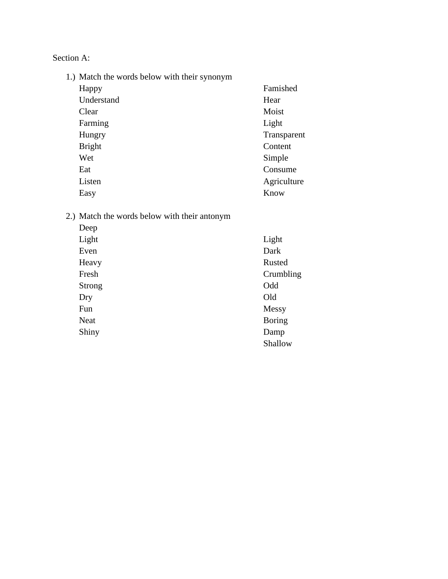Section A:

1.) Match the words below with their synonym

| Happy         | Famished    |
|---------------|-------------|
| Understand    | Hear        |
| Clear         | Moist       |
| Farming       | Light       |
| Hungry        | Transparent |
| <b>Bright</b> | Content     |
| Wet           | Simple      |
| Eat           | Consume     |
| Listen        | Agriculture |
| Easy          | Know        |

## 2.) Match the words below with their antonym

| Deep          |               |
|---------------|---------------|
| Light         | Light         |
| Even          | Dark          |
| Heavy         | <b>Rusted</b> |
| Fresh         | Crumbling     |
| <b>Strong</b> | Odd           |
| Dry           | Old           |
| Fun           | Messy         |
| <b>Neat</b>   | <b>Boring</b> |
| Shiny         | Damp          |
|               | Shallow       |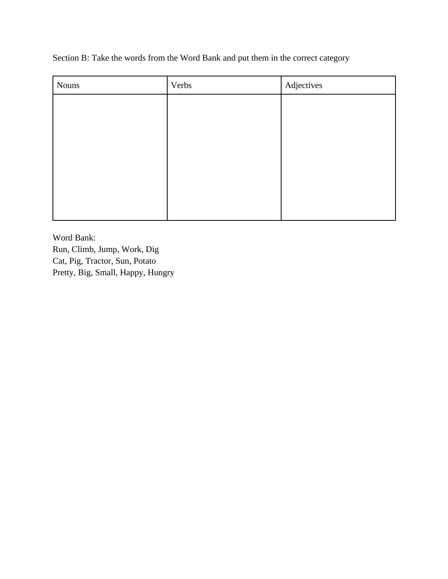Section B: Take the words from the Word Bank and put them in the correct category

| <b>Nouns</b> | Verbs | Adjectives |
|--------------|-------|------------|
|              |       |            |
|              |       |            |
|              |       |            |
|              |       |            |
|              |       |            |
|              |       |            |
|              |       |            |

Word Bank: Run, Climb, Jump, Work, Dig Cat, Pig, Tractor, Sun, Potato Pretty, Big, Small, Happy, Hungry